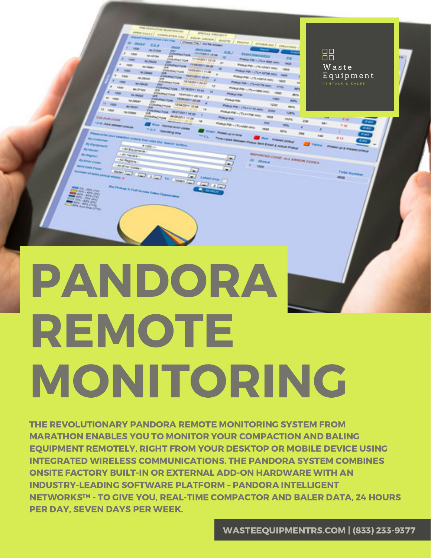

# REMOTE MONITORING

THE REVOLUTIONARY PANDORA REMOTE MONITORING SYSTEM FROM MARATHON ENABLES YOU TO MONITOR YOUR COMPACTION AND BALING EQUIPMENT REMOTELY, RIGHT FROM YOUR DESKTOP OR MOBILE DEVICE USING INTEGRATED WIRELESS COMMUNICATIONS. THE PANDORA SYSTEM COMBINES ONSITE FACTORY BUILT-IN OR EXTERNAL ADD-ON HARDWARE WITH AN INDUSTRY-LEADING SOFTWARE PLATFORM – PANDORA INTELLIGENT NETWORKS™ - TO GIVE YOU, REAL-TIME COMPACTOR AND BALER DATA, 24 HOURS PER DAY, SEVEN DAYS PER WEEK.